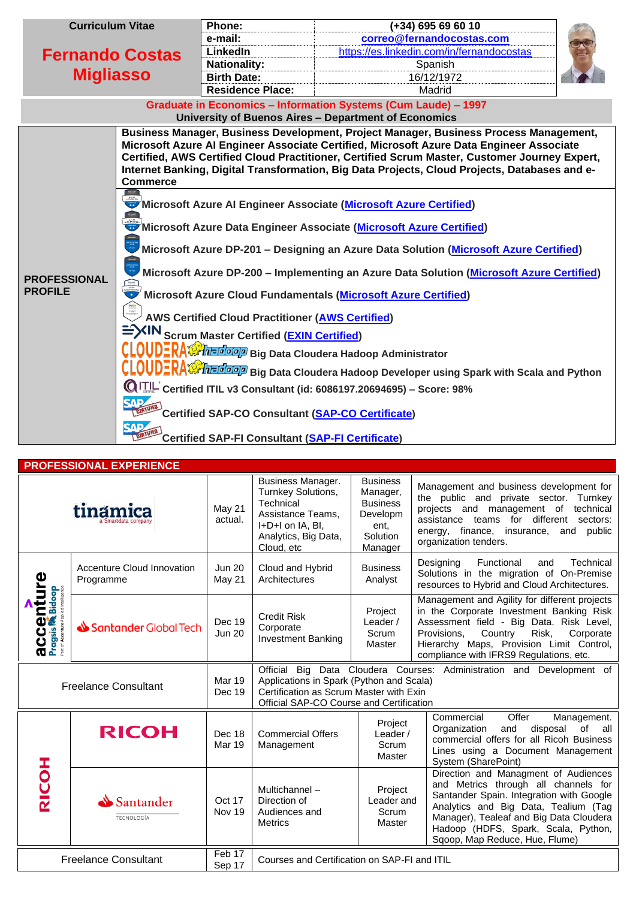| <b>Curriculum Vitae</b>                    |                                                                                                                                                                                                                                                                                                                                                                                                                                                                                                                                                                                                                                                                                                                                                     | Phone:                  | (+34) 695 69 60 10                                                                                                                                                                                                                                                                                                                                                                  |  |  |
|--------------------------------------------|-----------------------------------------------------------------------------------------------------------------------------------------------------------------------------------------------------------------------------------------------------------------------------------------------------------------------------------------------------------------------------------------------------------------------------------------------------------------------------------------------------------------------------------------------------------------------------------------------------------------------------------------------------------------------------------------------------------------------------------------------------|-------------------------|-------------------------------------------------------------------------------------------------------------------------------------------------------------------------------------------------------------------------------------------------------------------------------------------------------------------------------------------------------------------------------------|--|--|
| <b>Fernando Costas</b><br><b>Migliasso</b> |                                                                                                                                                                                                                                                                                                                                                                                                                                                                                                                                                                                                                                                                                                                                                     | e-mail:                 | correo@fernandocostas.com                                                                                                                                                                                                                                                                                                                                                           |  |  |
|                                            |                                                                                                                                                                                                                                                                                                                                                                                                                                                                                                                                                                                                                                                                                                                                                     | <b>LinkedIn</b>         | https://es.linkedin.com/in/fernandocostas                                                                                                                                                                                                                                                                                                                                           |  |  |
|                                            |                                                                                                                                                                                                                                                                                                                                                                                                                                                                                                                                                                                                                                                                                                                                                     | <b>Nationality:</b>     | Spanish                                                                                                                                                                                                                                                                                                                                                                             |  |  |
|                                            |                                                                                                                                                                                                                                                                                                                                                                                                                                                                                                                                                                                                                                                                                                                                                     | <b>Birth Date:</b>      | 16/12/1972                                                                                                                                                                                                                                                                                                                                                                          |  |  |
|                                            |                                                                                                                                                                                                                                                                                                                                                                                                                                                                                                                                                                                                                                                                                                                                                     | <b>Residence Place:</b> | Madrid                                                                                                                                                                                                                                                                                                                                                                              |  |  |
|                                            |                                                                                                                                                                                                                                                                                                                                                                                                                                                                                                                                                                                                                                                                                                                                                     |                         | Graduate in Economics - Information Systems (Cum Laude) - 1997<br>University of Buenos Aires - Department of Economics                                                                                                                                                                                                                                                              |  |  |
|                                            | <b>Commerce</b>                                                                                                                                                                                                                                                                                                                                                                                                                                                                                                                                                                                                                                                                                                                                     |                         | Business Manager, Business Development, Project Manager, Business Process Management,<br>Microsoft Azure AI Engineer Associate Certified, Microsoft Azure Data Engineer Associate<br>Certified, AWS Certified Cloud Practitioner, Certified Scrum Master, Customer Journey Expert,<br>Internet Banking, Digital Transformation, Big Data Projects, Cloud Projects, Databases and e- |  |  |
| <b>PROFESSIONAL</b><br><b>PROFILE</b>      | Microsoft Azure AI Engineer Associate (Microsoft Azure Certified)<br>Microsoft Azure Data Engineer Associate (Microsoft Azure Certified)<br>Microsoft Azure DP-201 - Designing an Azure Data Solution (Microsoft Azure Certified)<br>Microsoft Azure DP-200 - Implementing an Azure Data Solution (Microsoft Azure Certified)<br>Microsoft Azure Cloud Fundamentals (Microsoft Azure Certified)<br><b>AWS Certified Cloud Practitioner (AWS Certified)</b><br>EVIN Scrum Master Certified (EXIN Certified)<br><b>CLOUDERA Contract and Set Algebra</b> Big Data Cloudera Hadoop Administrator<br>$\mathbb{Q}$ <sup>1</sup> TIL Certified ITIL v3 Consultant (id: 6086197.20694695) - Score: 98%<br>Certified SAP-CO Consultant (SAP-CO Certificate) |                         |                                                                                                                                                                                                                                                                                                                                                                                     |  |  |

## **PROFESSIONAL EXPERIENCE**

| tinamica                                        |                                         | May 21<br>actual.                            | Business Manager.<br>Turnkey Solutions,<br>Technical<br>Assistance Teams.<br>I+D+I on IA, BI,<br>Analytics, Big Data,<br>Cloud, etc                                                                               | <b>Business</b><br>Manager,<br><b>Business</b><br>Developm<br>ent,<br>Solution<br>Manager | Management and business development for<br>the public and private sector. Turnkey<br>projects and<br>management of<br>technical<br>assistance teams for different<br>sectors:<br>finance, insurance, and<br>public<br>energy,<br>organization tenders.                               |  |
|-------------------------------------------------|-----------------------------------------|----------------------------------------------|-------------------------------------------------------------------------------------------------------------------------------------------------------------------------------------------------------------------|-------------------------------------------------------------------------------------------|--------------------------------------------------------------------------------------------------------------------------------------------------------------------------------------------------------------------------------------------------------------------------------------|--|
|                                                 | Accenture Cloud Innovation<br>Programme | <b>Jun 20</b><br>May 21                      | Cloud and Hybrid<br>Architectures                                                                                                                                                                                 | <b>Business</b><br>Analyst                                                                | Designing<br>Functional<br>Technical<br>and<br>Solutions in the migration of On-Premise<br>resources to Hybrid and Cloud Architectures.                                                                                                                                              |  |
| Bidoop<br><b>acce</b>                           | Santander Global Tech                   | Dec 19<br><b>Jun 20</b>                      | <b>Credit Risk</b><br>Corporate<br><b>Investment Banking</b>                                                                                                                                                      | Project<br>Leader /<br>Scrum<br>Master                                                    | Management and Agility for different projects<br>in the Corporate Investment Banking Risk<br>Assessment field - Big Data. Risk Level,<br>Country<br>Risk,<br>Provisions,<br>Corporate<br>Hierarchy Maps, Provision Limit Control,<br>compliance with IFRS9 Regulations, etc.         |  |
| <b>Freelance Consultant</b>                     |                                         | <b>Mar 19</b><br>Dec 19                      | Data Cloudera Courses: Administration and<br>Official<br>Big<br>Development of<br>Applications in Spark (Python and Scala)<br>Certification as Scrum Master with Exin<br>Official SAP-CO Course and Certification |                                                                                           |                                                                                                                                                                                                                                                                                      |  |
| <b>HODIS</b>                                    | <b>RICOH</b>                            | Dec 18<br><b>Mar 19</b>                      | <b>Commercial Offers</b><br>Management                                                                                                                                                                            | Project<br>Leader /<br>Scrum<br>Master                                                    | Offer<br>Commercial<br>Management.<br>disposal<br>of<br>Organization<br>and<br>all<br>commercial offers for all Ricoh Business<br>Lines using a Document Management<br>System (SharePoint)                                                                                           |  |
|                                                 | Santander<br>TECNOLOGÍA                 | Oct 17<br>Nov 19                             | Multichannel-<br>Direction of<br>Audiences and<br><b>Metrics</b>                                                                                                                                                  | Project<br>Leader and<br>Scrum<br>Master                                                  | Direction and Managment of Audiences<br>and Metrics through all channels for<br>Santander Spain. Integration with Google<br>Analytics and Big Data, Tealium (Tag<br>Manager), Tealeaf and Big Data Cloudera<br>Hadoop (HDFS, Spark, Scala, Python,<br>Sqoop, Map Reduce, Hue, Flume) |  |
| Feb 17<br><b>Freelance Consultant</b><br>Sep 17 |                                         | Courses and Certification on SAP-FI and ITIL |                                                                                                                                                                                                                   |                                                                                           |                                                                                                                                                                                                                                                                                      |  |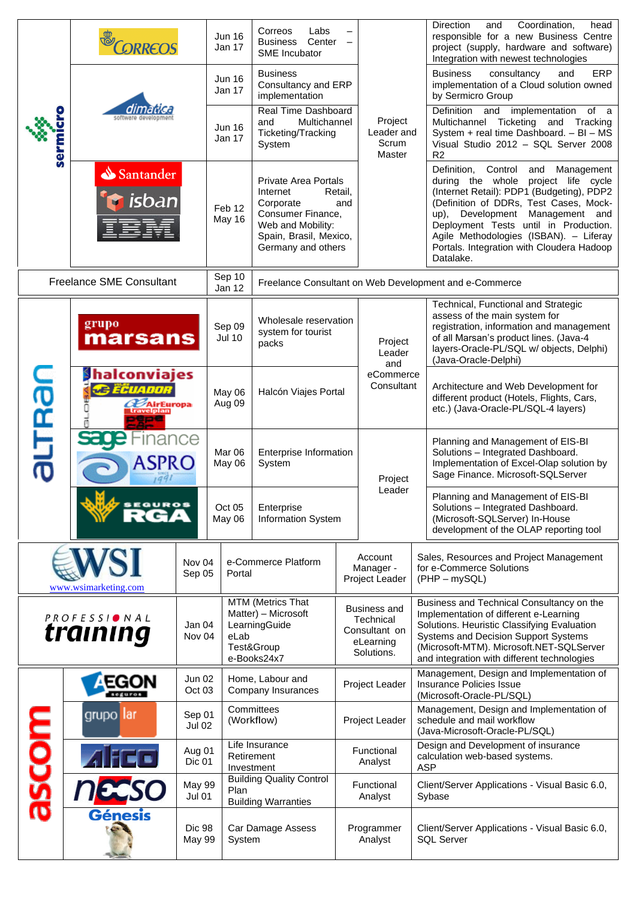|                                 | <b>ORRED</b>                                                                                                  |                                | <b>Jun 16</b><br>Jan 17 | Labs<br>Correos<br><b>Business</b><br>Center<br>SME Incubator                                                                                  |                                                                     |                                                                                                                                  | Direction<br>Coordination,<br>and<br>head<br>responsible for a new Business Centre<br>project (supply, hardware and software)<br>Integration with newest technologies                                                                                                                                                                                        |  |
|---------------------------------|---------------------------------------------------------------------------------------------------------------|--------------------------------|-------------------------|------------------------------------------------------------------------------------------------------------------------------------------------|---------------------------------------------------------------------|----------------------------------------------------------------------------------------------------------------------------------|--------------------------------------------------------------------------------------------------------------------------------------------------------------------------------------------------------------------------------------------------------------------------------------------------------------------------------------------------------------|--|
| serm                            |                                                                                                               |                                | <b>Jun 16</b><br>Jan 17 | <b>Business</b><br>Consultancy and ERP<br>implementation                                                                                       |                                                                     |                                                                                                                                  | ERP<br><b>Business</b><br>consultancy<br>and<br>implementation of a Cloud solution owned<br>by Sermicro Group                                                                                                                                                                                                                                                |  |
|                                 |                                                                                                               |                                | <b>Jun 16</b><br>Jan 17 | Real Time Dashboard<br>Multichannel<br>and<br>Ticketing/Tracking<br>System                                                                     |                                                                     | Project<br>Leader and<br>Scrum<br>Master                                                                                         | Definition and<br>implementation<br>of a<br>Ticketing<br>Multichannel<br>and Tracking<br>System + real time Dashboard. - BI - MS<br>Visual Studio 2012 - SQL Server 2008<br>R <sub>2</sub>                                                                                                                                                                   |  |
|                                 | Santander<br>isban                                                                                            |                                | Feb 12<br>May 16        | <b>Private Area Portals</b><br>Internet<br>Corporate<br>Consumer Finance,<br>Web and Mobility:<br>Spain, Brasil, Mexico,<br>Germany and others | Retail,<br>and                                                      |                                                                                                                                  | Definition, Control<br>Management<br>and<br>during the whole<br>project life cycle<br>(Internet Retail): PDP1 (Budgeting), PDP2<br>(Definition of DDRs, Test Cases, Mock-<br>Development Management and<br>up),<br>Deployment Tests until in Production.<br>Agile Methodologies (ISBAN). - Liferay<br>Portals. Integration with Cloudera Hadoop<br>Datalake. |  |
|                                 | <b>Freelance SME Consultant</b>                                                                               |                                | Sep 10<br>Jan 12        | Freelance Consultant on Web Development and e-Commerce                                                                                         |                                                                     |                                                                                                                                  |                                                                                                                                                                                                                                                                                                                                                              |  |
| grupo<br>marsans                |                                                                                                               |                                | Sep 09<br><b>Jul 10</b> | Wholesale reservation<br>system for tourist<br>packs                                                                                           |                                                                     | Project<br>Leader<br>and                                                                                                         | Technical, Functional and Strategic<br>assess of the main system for<br>registration, information and management<br>of all Marsan's product lines. (Java-4<br>layers-Oracle-PL/SQL w/ objects, Delphi)<br>(Java-Oracle-Delphi)                                                                                                                               |  |
| <b>UTRar</b><br>ത               | <b>I</b> halconviajes<br><b>Ca ECUADOR</b><br><b>AirEuropa</b><br>travelplan                                  |                                | May 06<br>Aug 09        | Halcón Viajes Portal                                                                                                                           | eCommerce<br>Consultant                                             |                                                                                                                                  | Architecture and Web Development for<br>different product (Hotels, Flights, Cars,<br>etc.) (Java-Oracle-PL/SQL-4 layers)                                                                                                                                                                                                                                     |  |
|                                 | <b>Sau</b><br>1991                                                                                            | -ınance<br>ASPRO<br>May 06     |                         | Enterprise Information<br>System                                                                                                               |                                                                     | Project                                                                                                                          | Planning and Management of EIS-BI<br>Solutions - Integrated Dashboard.<br>Implementation of Excel-Olap solution by<br>Sage Finance. Microsoft-SQLServer                                                                                                                                                                                                      |  |
|                                 | <b>FEGUROS</b>                                                                                                |                                | Oct 05<br>May 06        | Enterprise<br>Information System                                                                                                               |                                                                     | Leader                                                                                                                           | Planning and Management of EIS-BI<br>Solutions - Integrated Dashboard.<br>(Microsoft-SQLServer) In-House<br>development of the OLAP reporting tool                                                                                                                                                                                                           |  |
| www.wsimarketing.com            |                                                                                                               | Nov <sub>04</sub><br>Sep 05    |                         | e-Commerce Platform<br>Portal                                                                                                                  |                                                                     | Sales, Resources and Project Management<br>Account<br>for e-Commerce Solutions<br>Manager -<br>Project Leader<br>$(PHP - mySQL)$ |                                                                                                                                                                                                                                                                                                                                                              |  |
| <b>PROFESSIONAL</b><br>training |                                                                                                               | Jan 04<br>Nov 04               | eLab                    | MTM (Metrics That<br>Matter) - Microsoft<br>LearningGuide<br>Test&Group<br>e-Books24x7                                                         |                                                                     | Business and<br>Technical<br>Consultant on<br>eLearning<br>Solutions.                                                            | Business and Technical Consultancy on the<br>Implementation of different e-Learning<br>Solutions. Heuristic Classifying Evaluation<br>Systems and Decision Support Systems<br>(Microsoft-MTM). Microsoft.NET-SQLServer<br>and integration with different technologies                                                                                        |  |
|                                 | <b>AEGON</b>                                                                                                  | <b>Jun 02</b><br>Oct 03        |                         | Home, Labour and<br>Company Insurances                                                                                                         |                                                                     | Project Leader                                                                                                                   | Management, Design and Implementation of<br>Insurance Policies Issue<br>(Microsoft-Oracle-PL/SQL)                                                                                                                                                                                                                                                            |  |
|                                 | grupo lar                                                                                                     | Sep 01<br>Jul 02               |                         | Committees<br>(Workflow)                                                                                                                       |                                                                     | Project Leader                                                                                                                   | Management, Design and Implementation of<br>schedule and mail workflow<br>(Java-Microsoft-Oracle-PL/SQL)                                                                                                                                                                                                                                                     |  |
|                                 |                                                                                                               | Aug 01<br>Dic 01               |                         | Life Insurance<br>Retirement<br>Investment                                                                                                     |                                                                     | Functional<br>Analyst                                                                                                            | Design and Development of insurance<br>calculation web-based systems.<br><b>ASP</b>                                                                                                                                                                                                                                                                          |  |
| ascom                           | <b>NEESO</b>                                                                                                  | <b>May 99</b><br><b>Jul 01</b> | Plan                    | <b>Building Quality Control</b>                                                                                                                |                                                                     | Functional<br>Analyst                                                                                                            | Client/Server Applications - Visual Basic 6.0,<br>Sybase                                                                                                                                                                                                                                                                                                     |  |
|                                 | <b>Building Warranties</b><br><b>Génesis</b><br>Car Damage Assess<br><b>Dic 98</b><br><b>May 99</b><br>System |                                |                         | Programmer<br>Analyst                                                                                                                          | Client/Server Applications - Visual Basic 6.0,<br><b>SQL Server</b> |                                                                                                                                  |                                                                                                                                                                                                                                                                                                                                                              |  |